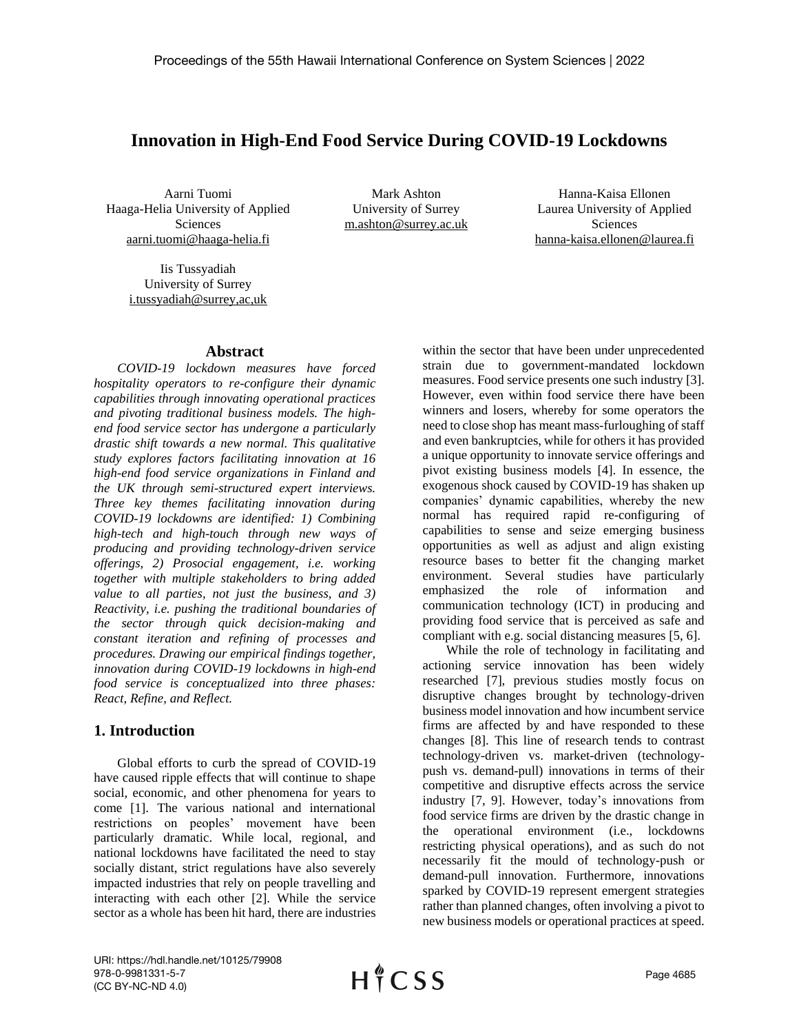# **Innovation in High-End Food Service During COVID-19 Lockdowns**

Aarni Tuomi Haaga-Helia University of Applied Sciences aarni.tuomi@haaga-helia.fi

Mark Ashton University of Surrey m.ashton@surrey.ac.uk

Hanna-Kaisa Ellonen Laurea University of Applied Sciences hanna-kaisa.ellonen@laurea.fi

Iis Tussyadiah University of Surrey i.tussyadiah@surrey,ac,uk

### **Abstract**

*COVID-19 lockdown measures have forced hospitality operators to re-configure their dynamic capabilities through innovating operational practices and pivoting traditional business models. The highend food service sector has undergone a particularly drastic shift towards a new normal. This qualitative study explores factors facilitating innovation at 16 high-end food service organizations in Finland and the UK through semi-structured expert interviews. Three key themes facilitating innovation during COVID-19 lockdowns are identified: 1) Combining high-tech and high-touch through new ways of producing and providing technology-driven service offerings, 2) Prosocial engagement, i.e. working together with multiple stakeholders to bring added value to all parties, not just the business, and 3) Reactivity, i.e. pushing the traditional boundaries of the sector through quick decision-making and constant iteration and refining of processes and procedures. Drawing our empirical findings together, innovation during COVID-19 lockdowns in high-end food service is conceptualized into three phases: React, Refine, and Reflect.*

## **1. Introduction**

Global efforts to curb the spread of COVID-19 have caused ripple effects that will continue to shape social, economic, and other phenomena for years to come [1]. The various national and international restrictions on peoples' movement have been particularly dramatic. While local, regional, and national lockdowns have facilitated the need to stay socially distant, strict regulations have also severely impacted industries that rely on people travelling and interacting with each other [2]. While the service sector as a whole has been hit hard, there are industries

within the sector that have been under unprecedented strain due to government-mandated lockdown measures. Food service presents one such industry [3]. However, even within food service there have been winners and losers, whereby for some operators the need to close shop has meant mass-furloughing of staff and even bankruptcies, while for others it has provided a unique opportunity to innovate service offerings and pivot existing business models [4]. In essence, the exogenous shock caused by COVID-19 has shaken up companies' dynamic capabilities, whereby the new normal has required rapid re-configuring of capabilities to sense and seize emerging business opportunities as well as adjust and align existing resource bases to better fit the changing market environment. Several studies have particularly emphasized the role of information and communication technology (ICT) in producing and providing food service that is perceived as safe and compliant with e.g. social distancing measures [5, 6].

While the role of technology in facilitating and actioning service innovation has been widely researched [7], previous studies mostly focus on disruptive changes brought by technology-driven business model innovation and how incumbent service firms are affected by and have responded to these changes [8]. This line of research tends to contrast technology-driven vs. market-driven (technologypush vs. demand-pull) innovations in terms of their competitive and disruptive effects across the service industry [7, 9]. However, today's innovations from food service firms are driven by the drastic change in the operational environment (i.e., lockdowns restricting physical operations), and as such do not necessarily fit the mould of technology-push or demand-pull innovation. Furthermore, innovations sparked by COVID-19 represent emergent strategies rather than planned changes, often involving a pivot to new business models or operational practices at speed.

URI: https://hdl.handle.net/10125/79908 978-0-9981331-5-7 (CC BY-NC-ND 4.0)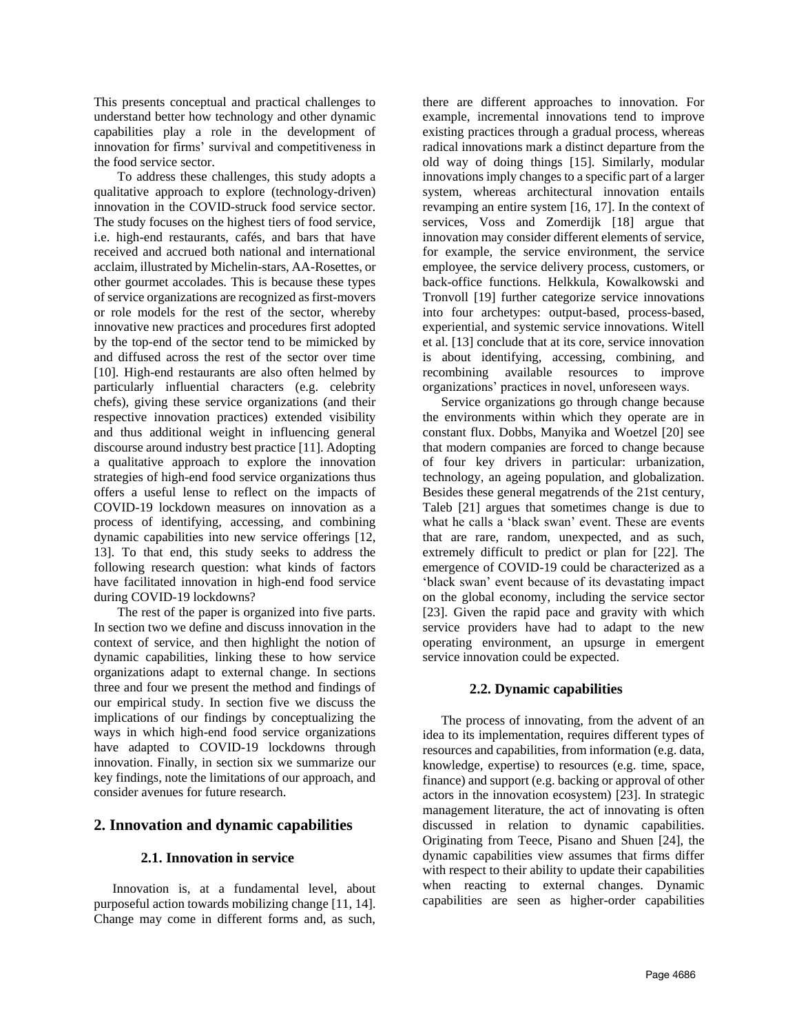This presents conceptual and practical challenges to understand better how technology and other dynamic capabilities play a role in the development of innovation for firms' survival and competitiveness in the food service sector.

To address these challenges, this study adopts a qualitative approach to explore (technology-driven) innovation in the COVID-struck food service sector. The study focuses on the highest tiers of food service, i.e. high-end restaurants, cafés, and bars that have received and accrued both national and international acclaim, illustrated by Michelin-stars, AA-Rosettes, or other gourmet accolades. This is because these types of service organizations are recognized as first-movers or role models for the rest of the sector, whereby innovative new practices and procedures first adopted by the top-end of the sector tend to be mimicked by and diffused across the rest of the sector over time [10]. High-end restaurants are also often helmed by particularly influential characters (e.g. celebrity chefs), giving these service organizations (and their respective innovation practices) extended visibility and thus additional weight in influencing general discourse around industry best practice [11]. Adopting a qualitative approach to explore the innovation strategies of high-end food service organizations thus offers a useful lense to reflect on the impacts of COVID-19 lockdown measures on innovation as a process of identifying, accessing, and combining dynamic capabilities into new service offerings [12, 13]. To that end, this study seeks to address the following research question: what kinds of factors have facilitated innovation in high-end food service during COVID-19 lockdowns?

The rest of the paper is organized into five parts. In section two we define and discuss innovation in the context of service, and then highlight the notion of dynamic capabilities, linking these to how service organizations adapt to external change. In sections three and four we present the method and findings of our empirical study. In section five we discuss the implications of our findings by conceptualizing the ways in which high-end food service organizations have adapted to COVID-19 lockdowns through innovation. Finally, in section six we summarize our key findings, note the limitations of our approach, and consider avenues for future research.

# **2. Innovation and dynamic capabilities**

### **2.1. Innovation in service**

Innovation is, at a fundamental level, about purposeful action towards mobilizing change [11, 14]. Change may come in different forms and, as such, there are different approaches to innovation. For example, incremental innovations tend to improve existing practices through a gradual process, whereas radical innovations mark a distinct departure from the old way of doing things [15]. Similarly, modular innovations imply changes to a specific part of a larger system, whereas architectural innovation entails revamping an entire system [16, 17]. In the context of services, Voss and Zomerdijk [18] argue that innovation may consider different elements of service, for example, the service environment, the service employee, the service delivery process, customers, or back-office functions. Helkkula, Kowalkowski and Tronvoll [19] further categorize service innovations into four archetypes: output-based, process-based, experiential, and systemic service innovations. Witell et al. [13] conclude that at its core, service innovation is about identifying, accessing, combining, and recombining available resources to improve organizations' practices in novel, unforeseen ways.

Service organizations go through change because the environments within which they operate are in constant flux. Dobbs, Manyika and Woetzel [20] see that modern companies are forced to change because of four key drivers in particular: urbanization, technology, an ageing population, and globalization. Besides these general megatrends of the 21st century, Taleb [21] argues that sometimes change is due to what he calls a 'black swan' event. These are events that are rare, random, unexpected, and as such, extremely difficult to predict or plan for [22]. The emergence of COVID-19 could be characterized as a 'black swan' event because of its devastating impact on the global economy, including the service sector [23]. Given the rapid pace and gravity with which service providers have had to adapt to the new operating environment, an upsurge in emergent service innovation could be expected.

#### **2.2. Dynamic capabilities**

The process of innovating, from the advent of an idea to its implementation, requires different types of resources and capabilities, from information (e.g. data, knowledge, expertise) to resources (e.g. time, space, finance) and support (e.g. backing or approval of other actors in the innovation ecosystem) [23]. In strategic management literature, the act of innovating is often discussed in relation to dynamic capabilities. Originating from Teece, Pisano and Shuen [24], the dynamic capabilities view assumes that firms differ with respect to their ability to update their capabilities when reacting to external changes. Dynamic capabilities are seen as higher-order capabilities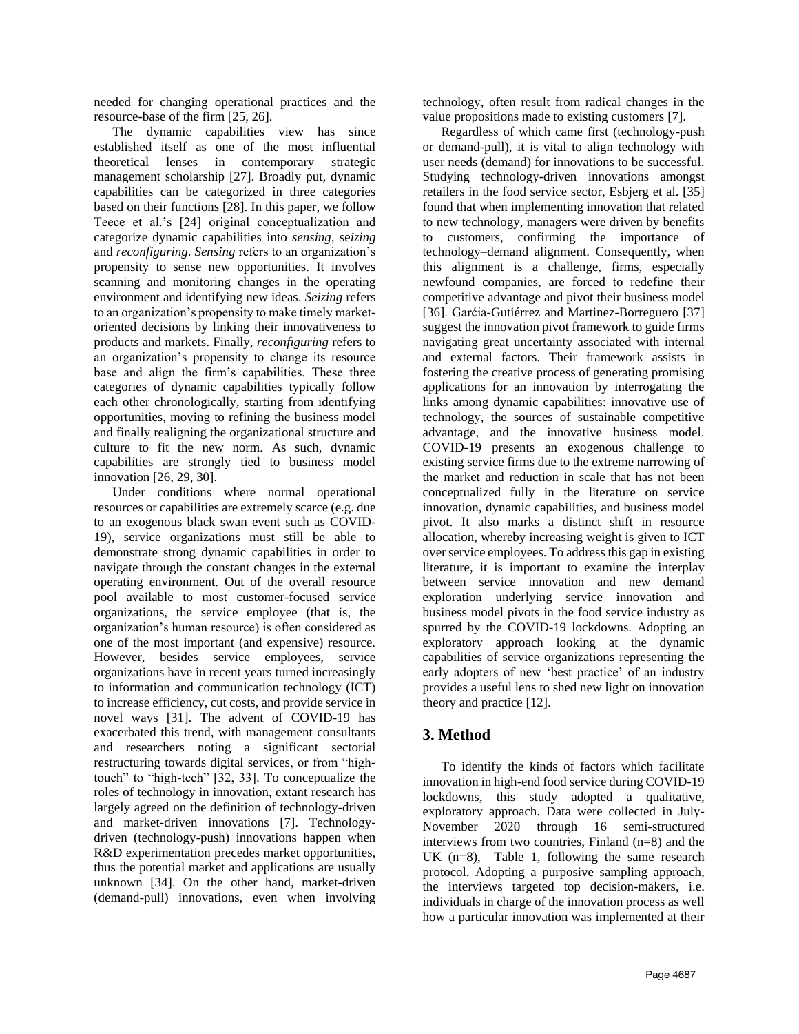needed for changing operational practices and the resource-base of the firm [25, 26].

The dynamic capabilities view has since established itself as one of the most influential theoretical lenses in contemporary strategic management scholarship [27]. Broadly put, dynamic capabilities can be categorized in three categories based on their functions [28]. In this paper, we follow Teece et al.'s [24] original conceptualization and categorize dynamic capabilities into *sensing,* se*izing*  and *reconfiguring*. *Sensing* refers to an organization's propensity to sense new opportunities. It involves scanning and monitoring changes in the operating environment and identifying new ideas. *Seizing* refers to an organization's propensity to make timely marketoriented decisions by linking their innovativeness to products and markets. Finally, *reconfiguring* refers to an organization's propensity to change its resource base and align the firm's capabilities. These three categories of dynamic capabilities typically follow each other chronologically, starting from identifying opportunities, moving to refining the business model and finally realigning the organizational structure and culture to fit the new norm. As such, dynamic capabilities are strongly tied to business model innovation [26, 29, 30].

Under conditions where normal operational resources or capabilities are extremely scarce (e.g. due to an exogenous black swan event such as COVID-19), service organizations must still be able to demonstrate strong dynamic capabilities in order to navigate through the constant changes in the external operating environment. Out of the overall resource pool available to most customer-focused service organizations, the service employee (that is, the organization's human resource) is often considered as one of the most important (and expensive) resource. However, besides service employees, service organizations have in recent years turned increasingly to information and communication technology (ICT) to increase efficiency, cut costs, and provide service in novel ways [31]. The advent of COVID-19 has exacerbated this trend, with management consultants and researchers noting a significant sectorial restructuring towards digital services, or from "hightouch" to "high-tech" [32, 33]. To conceptualize the roles of technology in innovation, extant research has largely agreed on the definition of technology-driven and market-driven innovations [7]. Technologydriven (technology-push) innovations happen when R&D experimentation precedes market opportunities, thus the potential market and applications are usually unknown [34]. On the other hand, market-driven (demand-pull) innovations, even when involving

technology, often result from radical changes in the value propositions made to existing customers [7].

Regardless of which came first (technology-push or demand-pull), it is vital to align technology with user needs (demand) for innovations to be successful. Studying technology-driven innovations amongst retailers in the food service sector, Esbjerg et al. [35] found that when implementing innovation that related to new technology, managers were driven by benefits to customers, confirming the importance of technology–demand alignment. Consequently, when this alignment is a challenge, firms, especially newfound companies, are forced to redefine their competitive advantage and pivot their business model [36]. Garćia-Gutiérrez and Martinez-Borreguero [37] suggest the innovation pivot framework to guide firms navigating great uncertainty associated with internal and external factors. Their framework assists in fostering the creative process of generating promising applications for an innovation by interrogating the links among dynamic capabilities: innovative use of technology, the sources of sustainable competitive advantage, and the innovative business model. COVID-19 presents an exogenous challenge to existing service firms due to the extreme narrowing of the market and reduction in scale that has not been conceptualized fully in the literature on service innovation, dynamic capabilities, and business model pivot. It also marks a distinct shift in resource allocation, whereby increasing weight is given to ICT over service employees. To address this gap in existing literature, it is important to examine the interplay between service innovation and new demand exploration underlying service innovation and business model pivots in the food service industry as spurred by the COVID-19 lockdowns. Adopting an exploratory approach looking at the dynamic capabilities of service organizations representing the early adopters of new 'best practice' of an industry provides a useful lens to shed new light on innovation theory and practice [12].

# **3. Method**

To identify the kinds of factors which facilitate innovation in high-end food service during COVID-19 lockdowns, this study adopted a qualitative, exploratory approach. Data were collected in July-November 2020 through 16 semi-structured interviews from two countries, Finland (n=8) and the UK (n=8), Table 1, following the same research protocol. Adopting a purposive sampling approach, the interviews targeted top decision-makers, i.e. individuals in charge of the innovation process as well how a particular innovation was implemented at their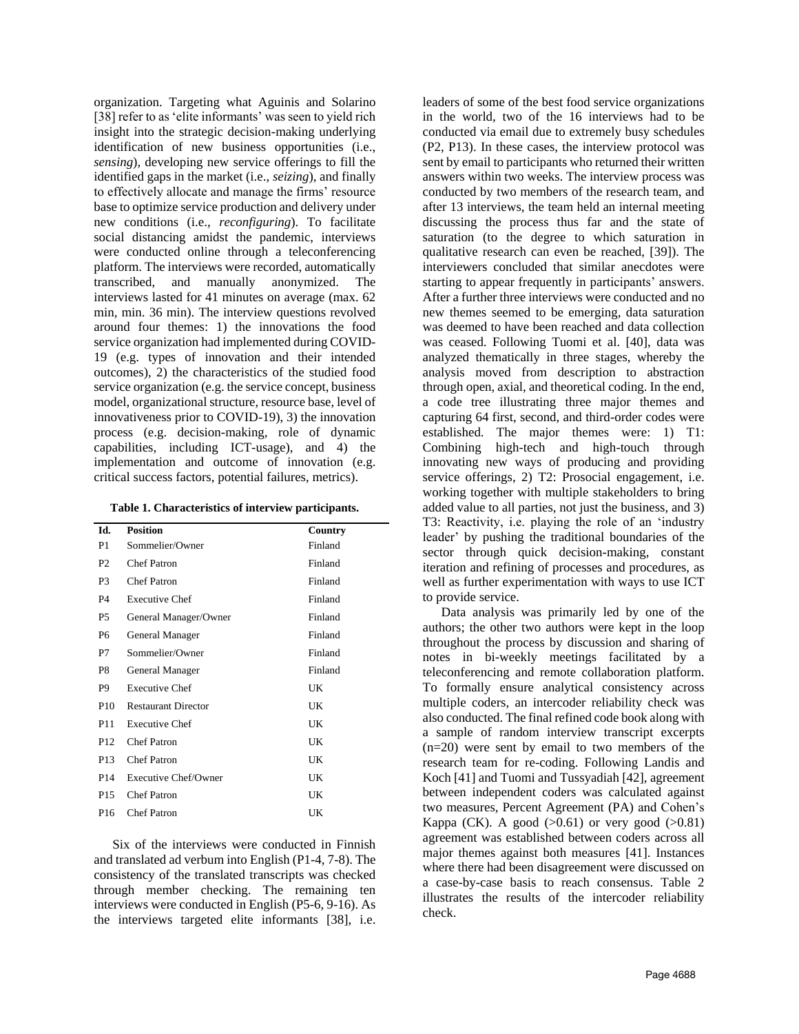organization. Targeting what Aguinis and Solarino [38] refer to as 'elite informants' was seen to vield rich insight into the strategic decision-making underlying identification of new business opportunities (i.e., *sensing*), developing new service offerings to fill the identified gaps in the market (i.e., *seizing*), and finally to effectively allocate and manage the firms' resource base to optimize service production and delivery under new conditions (i.e., *reconfiguring*). To facilitate social distancing amidst the pandemic, interviews were conducted online through a teleconferencing platform. The interviews were recorded, automatically transcribed, and manually anonymized. The interviews lasted for 41 minutes on average (max. 62 min, min. 36 min). The interview questions revolved around four themes: 1) the innovations the food service organization had implemented during COVID-19 (e.g. types of innovation and their intended outcomes), 2) the characteristics of the studied food service organization (e.g. the service concept, business model, organizational structure, resource base, level of innovativeness prior to COVID-19), 3) the innovation process (e.g. decision-making, role of dynamic capabilities, including ICT-usage), and 4) the implementation and outcome of innovation (e.g. critical success factors, potential failures, metrics).

**Table 1. Characteristics of interview participants.**

| Id.             | <b>Position</b>            | Country |
|-----------------|----------------------------|---------|
| P1              | Sommelier/Owner            | Finland |
| P <sub>2</sub>  | <b>Chef Patron</b>         | Finland |
| P <sub>3</sub>  | <b>Chef Patron</b>         | Finland |
| P <sub>4</sub>  | <b>Executive Chef</b>      | Finland |
| P5              | General Manager/Owner      | Finland |
| P6              | General Manager            | Finland |
| P7              | Sommelier/Owner            | Finland |
| P8              | General Manager            | Finland |
| P <sub>9</sub>  | <b>Executive Chef</b>      | UK      |
| P <sub>10</sub> | <b>Restaurant Director</b> | UK      |
| P <sub>11</sub> | <b>Executive Chef</b>      | UK      |
| P <sub>12</sub> | <b>Chef Patron</b>         | UK      |
| P <sub>13</sub> | <b>Chef Patron</b>         | UK      |
| P <sub>14</sub> | Executive Chef/Owner       | UK      |
| P <sub>15</sub> | <b>Chef Patron</b>         | UK      |
| P <sub>16</sub> | <b>Chef Patron</b>         | UK      |

Six of the interviews were conducted in Finnish and translated ad verbum into English (P1-4, 7-8). The consistency of the translated transcripts was checked through member checking. The remaining ten interviews were conducted in English (P5-6, 9-16). As the interviews targeted elite informants [38], i.e. leaders of some of the best food service organizations in the world, two of the 16 interviews had to be conducted via email due to extremely busy schedules (P2, P13). In these cases, the interview protocol was sent by email to participants who returned their written answers within two weeks. The interview process was conducted by two members of the research team, and after 13 interviews, the team held an internal meeting discussing the process thus far and the state of saturation (to the degree to which saturation in qualitative research can even be reached, [39]). The interviewers concluded that similar anecdotes were starting to appear frequently in participants' answers. After a further three interviews were conducted and no new themes seemed to be emerging, data saturation was deemed to have been reached and data collection was ceased. Following Tuomi et al. [40], data was analyzed thematically in three stages, whereby the analysis moved from description to abstraction through open, axial, and theoretical coding. In the end, a code tree illustrating three major themes and capturing 64 first, second, and third-order codes were established. The major themes were: 1) T1: Combining high-tech and high-touch through innovating new ways of producing and providing service offerings, 2) T2: Prosocial engagement, i.e. working together with multiple stakeholders to bring added value to all parties, not just the business, and 3) T3: Reactivity, i.e. playing the role of an 'industry leader' by pushing the traditional boundaries of the sector through quick decision-making, constant iteration and refining of processes and procedures, as well as further experimentation with ways to use ICT to provide service.

Data analysis was primarily led by one of the authors; the other two authors were kept in the loop throughout the process by discussion and sharing of notes in bi-weekly meetings facilitated by a teleconferencing and remote collaboration platform. To formally ensure analytical consistency across multiple coders, an intercoder reliability check was also conducted. The final refined code book along with a sample of random interview transcript excerpts (n=20) were sent by email to two members of the research team for re-coding. Following Landis and Koch [41] and Tuomi and Tussyadiah [42], agreement between independent coders was calculated against two measures, Percent Agreement (PA) and Cohen's Kappa (CK). A good  $(>0.61)$  or very good  $(>0.81)$ agreement was established between coders across all major themes against both measures [41]. Instances where there had been disagreement were discussed on a case-by-case basis to reach consensus. Table 2 illustrates the results of the intercoder reliability check.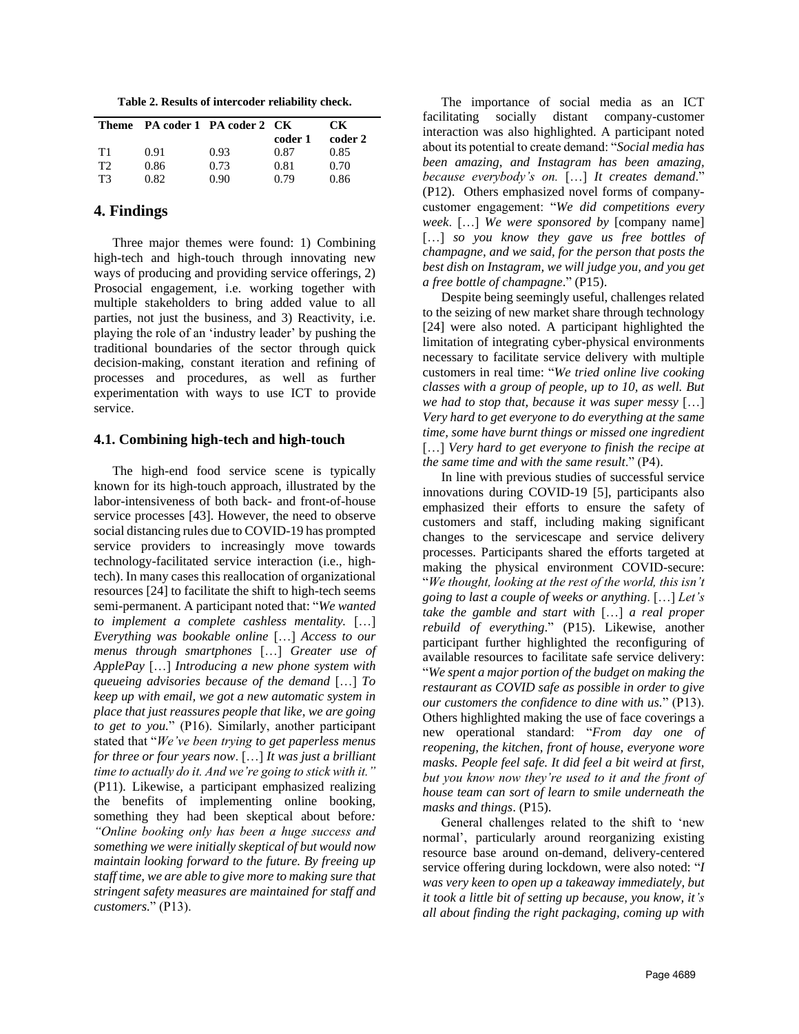**Table 2. Results of intercoder reliability check.**

|    | Theme PA coder 1 PA coder 2 CK |      | coder 1 | CK.<br>coder 2 |
|----|--------------------------------|------|---------|----------------|
| T1 | 0.91                           | 0.93 | 0.87    | 0.85           |
| T2 | 0.86                           | 0.73 | 0.81    | 0.70           |
| T3 | 0.82                           | 0.90 | 0.79    | 0.86           |

## **4. Findings**

Three major themes were found: 1) Combining high-tech and high-touch through innovating new ways of producing and providing service offerings, 2) Prosocial engagement, i.e. working together with multiple stakeholders to bring added value to all parties, not just the business, and 3) Reactivity, i.e. playing the role of an 'industry leader' by pushing the traditional boundaries of the sector through quick decision-making, constant iteration and refining of processes and procedures, as well as further experimentation with ways to use ICT to provide service.

#### **4.1. Combining high-tech and high-touch**

The high-end food service scene is typically known for its high-touch approach, illustrated by the labor-intensiveness of both back- and front-of-house service processes [43]. However, the need to observe social distancing rules due to COVID-19 has prompted service providers to increasingly move towards technology-facilitated service interaction (i.e., hightech). In many cases this reallocation of organizational resources [24] to facilitate the shift to high-tech seems semi-permanent. A participant noted that: "*We wanted to implement a complete cashless mentality.* […] *Everything was bookable online* […] *Access to our menus through smartphones* […] *Greater use of ApplePay* […] *Introducing a new phone system with queueing advisories because of the demand* […] *To keep up with email, we got a new automatic system in place that just reassures people that like, we are going to get to you.*" (P16). Similarly, another participant stated that "*We've been trying to get paperless menus for three or four years now*. […] *It was just a brilliant time to actually do it. And we're going to stick with it."*  (P11)*.* Likewise, a participant emphasized realizing the benefits of implementing online booking, something they had been skeptical about before*: "Online booking only has been a huge success and something we were initially skeptical of but would now maintain looking forward to the future. By freeing up staff time, we are able to give more to making sure that stringent safety measures are maintained for staff and customers.*" (P13).

The importance of social media as an ICT facilitating socially distant company-customer interaction was also highlighted. A participant noted about its potential to create demand: "*Social media has been amazing, and Instagram has been amazing, because everybody's on.* […] *It creates demand*." (P12). Others emphasized novel forms of companycustomer engagement: "*We did competitions every week*. […] *We were sponsored by* [company name] [...] *so you know they gave us free bottles of champagne, and we said, for the person that posts the best dish on Instagram, we will judge you, and you get a free bottle of champagne*." (P15).

Despite being seemingly useful, challenges related to the seizing of new market share through technology [24] were also noted. A participant highlighted the limitation of integrating cyber-physical environments necessary to facilitate service delivery with multiple customers in real time: "*We tried online live cooking classes with a group of people, up to 10, as well. But we had to stop that, because it was super messy* […] *Very hard to get everyone to do everything at the same time, some have burnt things or missed one ingredient* [...] *Very hard to get everyone to finish the recipe at the same time and with the same result*." (P4).

In line with previous studies of successful service innovations during COVID-19 [5], participants also emphasized their efforts to ensure the safety of customers and staff, including making significant changes to the servicescape and service delivery processes. Participants shared the efforts targeted at making the physical environment COVID-secure: "*We thought, looking at the rest of the world, this isn't going to last a couple of weeks or anything*. […] *Let's take the gamble and start with* […] *a real proper rebuild of everything*." (P15). Likewise, another participant further highlighted the reconfiguring of available resources to facilitate safe service delivery: "*We spent a major portion of the budget on making the restaurant as COVID safe as possible in order to give our customers the confidence to dine with us.*" (P13). Others highlighted making the use of face coverings a new operational standard: "*From day one of reopening, the kitchen, front of house, everyone wore masks. People feel safe. It did feel a bit weird at first, but you know now they're used to it and the front of house team can sort of learn to smile underneath the masks and things*. (P15).

General challenges related to the shift to 'new normal', particularly around reorganizing existing resource base around on-demand, delivery-centered service offering during lockdown, were also noted: "*I was very keen to open up a takeaway immediately, but it took a little bit of setting up because, you know, it's all about finding the right packaging, coming up with*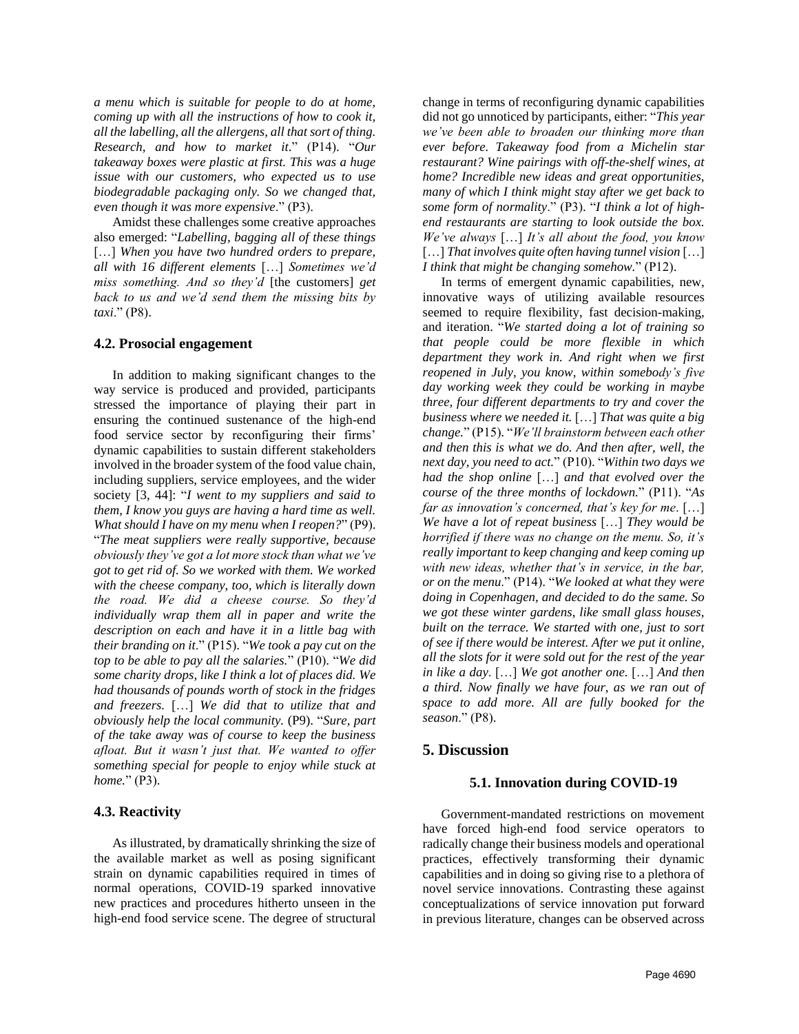*a menu which is suitable for people to do at home, coming up with all the instructions of how to cook it, all the labelling, all the allergens, all that sort of thing. Research, and how to market it*." (P14). "*Our takeaway boxes were plastic at first. This was a huge issue with our customers, who expected us to use biodegradable packaging only. So we changed that, even though it was more expensive*." (P3).

Amidst these challenges some creative approaches also emerged: "*Labelling, bagging all of these things* [...] When you have two hundred orders to prepare, *all with 16 different elements* […] *Sometimes we'd miss something. And so they'd* [the customers] *get back to us and we'd send them the missing bits by taxi*." (P8).

#### **4.2. Prosocial engagement**

In addition to making significant changes to the way service is produced and provided, participants stressed the importance of playing their part in ensuring the continued sustenance of the high-end food service sector by reconfiguring their firms' dynamic capabilities to sustain different stakeholders involved in the broader system of the food value chain, including suppliers, service employees, and the wider society [3, 44]: "*I went to my suppliers and said to them, I know you guys are having a hard time as well. What should I have on my menu when I reopen?*" (P9). "*The meat suppliers were really supportive, because obviously they've got a lot more stock than what we've got to get rid of. So we worked with them. We worked with the cheese company, too, which is literally down the road. We did a cheese course. So they'd individually wrap them all in paper and write the description on each and have it in a little bag with their branding on it*." (P15). "*We took a pay cut on the top to be able to pay all the salaries.*" (P10). "*We did some charity drops, like I think a lot of places did. We had thousands of pounds worth of stock in the fridges and freezers.* […] *We did that to utilize that and obviously help the local community.* (P9). "*Sure, part of the take away was of course to keep the business afloat. But it wasn't just that. We wanted to offer something special for people to enjoy while stuck at home.*" (P3).

#### **4.3. Reactivity**

As illustrated, by dramatically shrinking the size of the available market as well as posing significant strain on dynamic capabilities required in times of normal operations, COVID-19 sparked innovative new practices and procedures hitherto unseen in the high-end food service scene. The degree of structural

change in terms of reconfiguring dynamic capabilities did not go unnoticed by participants, either: "*This year we've been able to broaden our thinking more than ever before. Takeaway food from a Michelin star restaurant? Wine pairings with off-the-shelf wines, at home? Incredible new ideas and great opportunities, many of which I think might stay after we get back to some form of normality*." (P3). "*I think a lot of highend restaurants are starting to look outside the box. We've always* […] *It's all about the food, you know* […] *That involves quite often having tunnel vision* […] *I think that might be changing somehow.*" (P12).

In terms of emergent dynamic capabilities, new, innovative ways of utilizing available resources seemed to require flexibility, fast decision-making, and iteration. "*We started doing a lot of training so that people could be more flexible in which department they work in. And right when we first reopened in July, you know, within somebody's five day working week they could be working in maybe three, four different departments to try and cover the business where we needed it.* […] *That was quite a big change.*" (P15). "*We'll brainstorm between each other and then this is what we do. And then after, well, the next day, you need to act.*" (P10). "*Within two days we had the shop online* […] *and that evolved over the course of the three months of lockdown.*" (P11). "*As far as innovation's concerned, that's key for me*. […] *We have a lot of repeat business* […] *They would be horrified if there was no change on the menu. So, it's really important to keep changing and keep coming up with new ideas, whether that's in service, in the bar, or on the menu*." (P14). "*We looked at what they were doing in Copenhagen, and decided to do the same. So we got these winter gardens, like small glass houses, built on the terrace. We started with one, just to sort of see if there would be interest. After we put it online, all the slots for it were sold out for the rest of the year in like a day*. […] *We got another one.* […] *And then a third. Now finally we have four, as we ran out of space to add more. All are fully booked for the season*." (P8).

#### **5. Discussion**

#### **5.1. Innovation during COVID-19**

Government-mandated restrictions on movement have forced high-end food service operators to radically change their business models and operational practices, effectively transforming their dynamic capabilities and in doing so giving rise to a plethora of novel service innovations. Contrasting these against conceptualizations of service innovation put forward in previous literature, changes can be observed across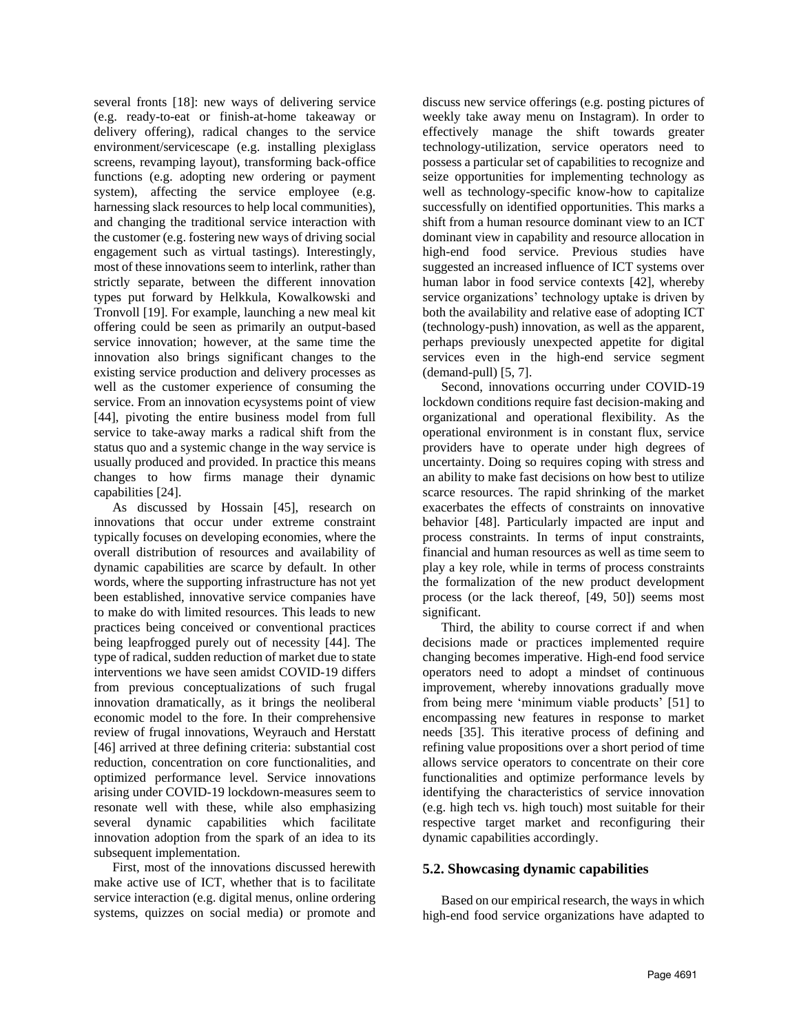several fronts [18]: new ways of delivering service (e.g. ready-to-eat or finish-at-home takeaway or delivery offering), radical changes to the service environment/servicescape (e.g. installing plexiglass screens, revamping layout), transforming back-office functions (e.g. adopting new ordering or payment system), affecting the service employee (e.g. harnessing slack resources to help local communities), and changing the traditional service interaction with the customer (e.g. fostering new ways of driving social engagement such as virtual tastings). Interestingly, most of these innovations seem to interlink, rather than strictly separate, between the different innovation types put forward by Helkkula, Kowalkowski and Tronvoll [19]. For example, launching a new meal kit offering could be seen as primarily an output-based service innovation; however, at the same time the innovation also brings significant changes to the existing service production and delivery processes as well as the customer experience of consuming the service. From an innovation ecysystems point of view [44], pivoting the entire business model from full service to take-away marks a radical shift from the status quo and a systemic change in the way service is usually produced and provided. In practice this means changes to how firms manage their dynamic capabilities [24].

As discussed by Hossain [45], research on innovations that occur under extreme constraint typically focuses on developing economies, where the overall distribution of resources and availability of dynamic capabilities are scarce by default. In other words, where the supporting infrastructure has not yet been established, innovative service companies have to make do with limited resources. This leads to new practices being conceived or conventional practices being leapfrogged purely out of necessity [44]. The type of radical, sudden reduction of market due to state interventions we have seen amidst COVID-19 differs from previous conceptualizations of such frugal innovation dramatically, as it brings the neoliberal economic model to the fore. In their comprehensive review of frugal innovations, Weyrauch and Herstatt [46] arrived at three defining criteria: substantial cost reduction, concentration on core functionalities, and optimized performance level. Service innovations arising under COVID-19 lockdown-measures seem to resonate well with these, while also emphasizing several dynamic capabilities which facilitate innovation adoption from the spark of an idea to its subsequent implementation.

First, most of the innovations discussed herewith make active use of ICT, whether that is to facilitate service interaction (e.g. digital menus, online ordering systems, quizzes on social media) or promote and discuss new service offerings (e.g. posting pictures of weekly take away menu on Instagram). In order to effectively manage the shift towards greater technology-utilization, service operators need to possess a particular set of capabilities to recognize and seize opportunities for implementing technology as well as technology-specific know-how to capitalize successfully on identified opportunities. This marks a shift from a human resource dominant view to an ICT dominant view in capability and resource allocation in high-end food service. Previous studies have suggested an increased influence of ICT systems over human labor in food service contexts [42], whereby service organizations' technology uptake is driven by both the availability and relative ease of adopting ICT (technology-push) innovation, as well as the apparent, perhaps previously unexpected appetite for digital services even in the high-end service segment (demand-pull) [5, 7].

Second, innovations occurring under COVID-19 lockdown conditions require fast decision-making and organizational and operational flexibility. As the operational environment is in constant flux, service providers have to operate under high degrees of uncertainty. Doing so requires coping with stress and an ability to make fast decisions on how best to utilize scarce resources. The rapid shrinking of the market exacerbates the effects of constraints on innovative behavior [48]. Particularly impacted are input and process constraints. In terms of input constraints, financial and human resources as well as time seem to play a key role, while in terms of process constraints the formalization of the new product development process (or the lack thereof, [49, 50]) seems most significant.

Third, the ability to course correct if and when decisions made or practices implemented require changing becomes imperative. High-end food service operators need to adopt a mindset of continuous improvement, whereby innovations gradually move from being mere 'minimum viable products' [51] to encompassing new features in response to market needs [35]. This iterative process of defining and refining value propositions over a short period of time allows service operators to concentrate on their core functionalities and optimize performance levels by identifying the characteristics of service innovation (e.g. high tech vs. high touch) most suitable for their respective target market and reconfiguring their dynamic capabilities accordingly.

# **5.2. Showcasing dynamic capabilities**

Based on our empirical research, the ways in which high-end food service organizations have adapted to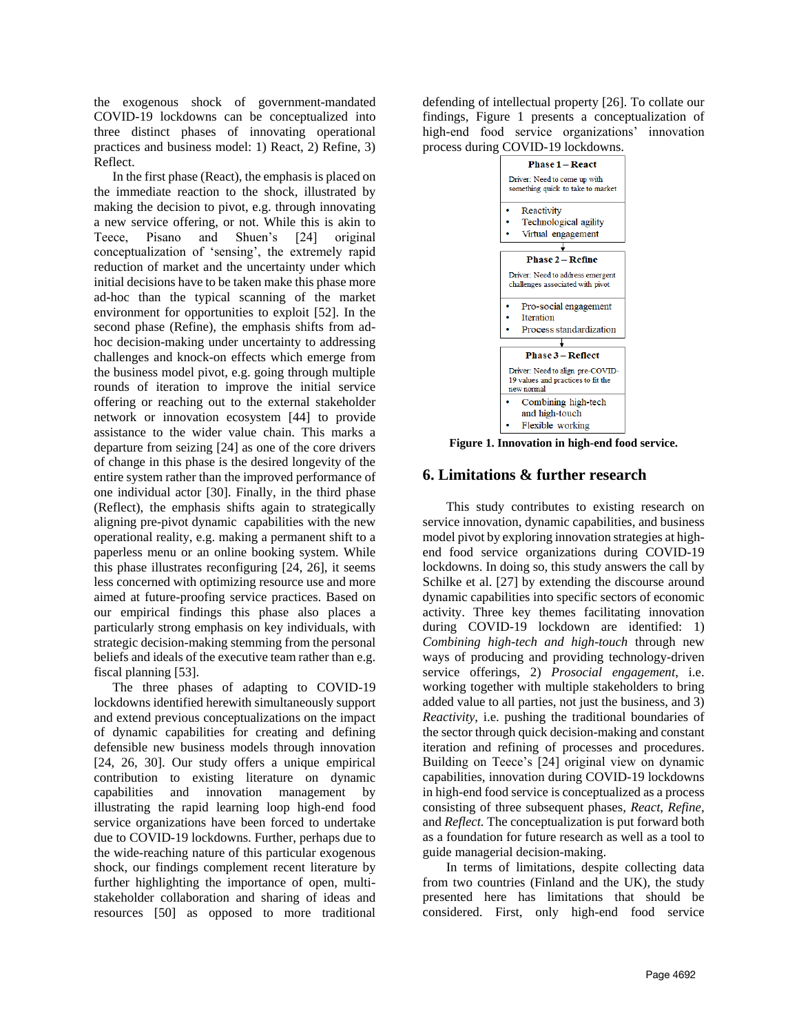the exogenous shock of government-mandated COVID-19 lockdowns can be conceptualized into three distinct phases of innovating operational practices and business model: 1) React, 2) Refine, 3) Reflect.

In the first phase (React), the emphasis is placed on the immediate reaction to the shock, illustrated by making the decision to pivot, e.g. through innovating a new service offering, or not. While this is akin to Teece, Pisano and Shuen's [24] original conceptualization of 'sensing', the extremely rapid reduction of market and the uncertainty under which initial decisions have to be taken make this phase more ad-hoc than the typical scanning of the market environment for opportunities to exploit [52]. In the second phase (Refine), the emphasis shifts from adhoc decision-making under uncertainty to addressing challenges and knock-on effects which emerge from the business model pivot, e.g. going through multiple rounds of iteration to improve the initial service offering or reaching out to the external stakeholder network or innovation ecosystem [44] to provide assistance to the wider value chain. This marks a departure from seizing [24] as one of the core drivers of change in this phase is the desired longevity of the entire system rather than the improved performance of one individual actor [30]. Finally, in the third phase (Reflect), the emphasis shifts again to strategically aligning pre-pivot dynamic capabilities with the new operational reality, e.g. making a permanent shift to a paperless menu or an online booking system. While this phase illustrates reconfiguring [24, 26], it seems less concerned with optimizing resource use and more aimed at future-proofing service practices. Based on our empirical findings this phase also places a particularly strong emphasis on key individuals, with strategic decision-making stemming from the personal beliefs and ideals of the executive team rather than e.g. fiscal planning [53].

The three phases of adapting to COVID-19 lockdowns identified herewith simultaneously support and extend previous conceptualizations on the impact of dynamic capabilities for creating and defining defensible new business models through innovation [24, 26, 30]. Our study offers a unique empirical contribution to existing literature on dynamic capabilities and innovation management by illustrating the rapid learning loop high-end food service organizations have been forced to undertake due to COVID-19 lockdowns. Further, perhaps due to the wide-reaching nature of this particular exogenous shock, our findings complement recent literature by further highlighting the importance of open, multistakeholder collaboration and sharing of ideas and resources [50] as opposed to more traditional defending of intellectual property [26]. To collate our findings, Figure 1 presents a conceptualization of high-end food service organizations' innovation process during COVID-19 lockdowns.



**Figure 1. Innovation in high-end food service.**

## **6. Limitations & further research**

This study contributes to existing research on service innovation, dynamic capabilities, and business model pivot by exploring innovation strategies at highend food service organizations during COVID-19 lockdowns. In doing so, this study answers the call by Schilke et al. [27] by extending the discourse around dynamic capabilities into specific sectors of economic activity. Three key themes facilitating innovation during COVID-19 lockdown are identified: 1) *Combining high-tech and high-touch* through new ways of producing and providing technology-driven service offerings, 2) *Prosocial engagement*, i.e. working together with multiple stakeholders to bring added value to all parties, not just the business, and 3) *Reactivity*, i.e. pushing the traditional boundaries of the sector through quick decision-making and constant iteration and refining of processes and procedures. Building on Teece's [24] original view on dynamic capabilities, innovation during COVID-19 lockdowns in high-end food service is conceptualized as a process consisting of three subsequent phases, *React, Refine,*  and *Reflect.* The conceptualization is put forward both as a foundation for future research as well as a tool to guide managerial decision-making.

In terms of limitations, despite collecting data from two countries (Finland and the UK), the study presented here has limitations that should be considered. First, only high-end food service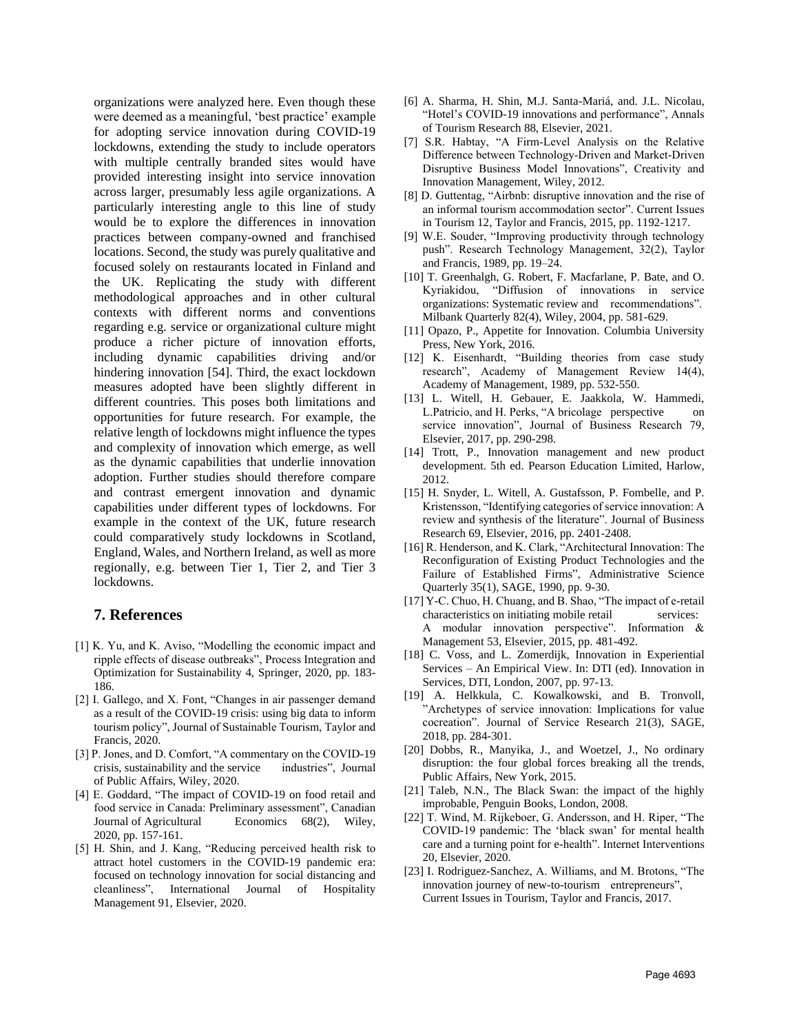organizations were analyzed here. Even though these were deemed as a meaningful, 'best practice' example for adopting service innovation during COVID-19 lockdowns, extending the study to include operators with multiple centrally branded sites would have provided interesting insight into service innovation across larger, presumably less agile organizations. A particularly interesting angle to this line of study would be to explore the differences in innovation practices between company-owned and franchised locations. Second, the study was purely qualitative and focused solely on restaurants located in Finland and the UK. Replicating the study with different methodological approaches and in other cultural contexts with different norms and conventions regarding e.g. service or organizational culture might produce a richer picture of innovation efforts, including dynamic capabilities driving and/or hindering innovation [54]. Third, the exact lockdown measures adopted have been slightly different in different countries. This poses both limitations and opportunities for future research. For example, the relative length of lockdowns might influence the types and complexity of innovation which emerge, as well as the dynamic capabilities that underlie innovation adoption. Further studies should therefore compare and contrast emergent innovation and dynamic capabilities under different types of lockdowns. For example in the context of the UK, future research could comparatively study lockdowns in Scotland, England, Wales, and Northern Ireland, as well as more regionally, e.g. between Tier 1, Tier 2, and Tier 3 lockdowns.

# **7. References**

- [1] K. Yu, and K. Aviso, "Modelling the economic impact and ripple effects of disease outbreaks", Process Integration and Optimization for Sustainability 4, Springer, 2020, pp. 183- 186.
- [2] I. Gallego, and X. Font, "Changes in air passenger demand as a result of the COVID-19 crisis: using big data to inform tourism policy", Journal of Sustainable Tourism, Taylor and Francis, 2020.
- [3] P. Jones, and D. Comfort, "A commentary on the COVID-19 crisis, sustainability and the service industries", Journal of Public Affairs, Wiley, 2020.
- [4] E. Goddard, "The impact of COVID-19 on food retail and food service in Canada: Preliminary assessment", Canadian Journal of Agricultural Economics 68(2), Wiley, 2020, pp. 157-161.
- [5] H. Shin, and J. Kang, "Reducing perceived health risk to attract hotel customers in the COVID-19 pandemic era: focused on technology innovation for social distancing and cleanliness", International Journal of Hospitality Management 91, Elsevier, 2020.
- [6] A. Sharma, H. Shin, M.J. Santa-Mariá, and. J.L. Nicolau, "Hotel's COVID-19 innovations and performance", Annals of Tourism Research 88, Elsevier, 2021.
- [7] S.R. Habtay, "A Firm-Level Analysis on the Relative Difference between Technology‐Driven and Market‐Driven Disruptive Business Model Innovations", Creativity and Innovation Management, Wiley, 2012.
- [8] D. Guttentag, "Airbnb: disruptive innovation and the rise of an informal tourism accommodation sector". Current Issues in Tourism 12, Taylor and Francis, 2015, pp. 1192-1217.
- [9] W.E. Souder, "Improving productivity through technology push". Research Technology Management, 32(2), Taylor and Francis, 1989, pp. 19–24.
- [10] T. Greenhalgh, G. Robert, F. Macfarlane, P. Bate, and O. Kyriakidou, "Diffusion of innovations in service organizations: Systematic review and recommendations". Milbank Quarterly 82(4), Wiley, 2004, pp. 581-629.
- [11] Opazo, P., Appetite for Innovation. Columbia University Press, New York, 2016.
- [12] K. Eisenhardt, "Building theories from case study research", Academy of Management Review 14(4), Academy of Management, 1989, pp. 532-550.
- [13] L. Witell, H. Gebauer, E. Jaakkola, W. Hammedi, L.Patricio, and H. Perks, "A bricolage perspective on service innovation", Journal of Business Research 79, Elsevier, 2017, pp. 290-298.
- [14] Trott, P., Innovation management and new product development. 5th ed. Pearson Education Limited, Harlow, 2012.
- [15] H. Snyder, L. Witell, A. Gustafsson, P. Fombelle, and P. Kristensson, "Identifying categories of service innovation: A review and synthesis of the literature". Journal of Business Research 69, Elsevier, 2016, pp. 2401-2408.
- [16] R. Henderson, and K. Clark, "Architectural Innovation: The Reconfiguration of Existing Product Technologies and the Failure of Established Firms", Administrative Science Quarterly 35(1), SAGE, 1990, pp. 9-30.
- [17] Y-C. Chuo, H. Chuang, and B. Shao, "The impact of e-retail characteristics on initiating mobile retail services: A modular innovation perspective". Information & Management 53, Elsevier, 2015, pp. 481-492.
- [18] C. Voss, and L. Zomerdijk, Innovation in Experiential Services – An Empirical View. In: DTI (ed). Innovation in Services, DTI, London, 2007, pp. 97-13.
- [19] A. Helkkula, C. Kowalkowski, and B. Tronvoll, "Archetypes of service innovation: Implications for value cocreation". Journal of Service Research 21(3), SAGE, 2018, pp. 284-301.
- [20] Dobbs, R., Manyika, J., and Woetzel, J., No ordinary disruption: the four global forces breaking all the trends, Public Affairs, New York, 2015.
- [21] Taleb, N.N., The Black Swan: the impact of the highly improbable, Penguin Books, London, 2008.
- [22] T. Wind, M. Rijkeboer, G. Andersson, and H. Riper, "The COVID-19 pandemic: The 'black swan' for mental health care and a turning point for e-health". Internet Interventions 20, Elsevier, 2020.
- [23] I. Rodriguez-Sanchez, A. Williams, and M. Brotons, "The innovation journey of new-to-tourism entrepreneurs", Current Issues in Tourism, Taylor and Francis, 2017.